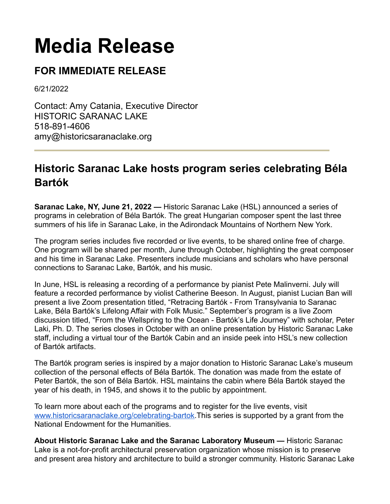## **Media Release**

## **FOR IMMEDIATE RELEASE**

6/21/2022

Contact: Amy Catania, Executive Director HISTORIC SARANAC LAKE 518-891-4606 amy@historicsaranaclake.org

## **Historic Saranac Lake hosts program series celebrating Béla Bartók**

**Saranac Lake, NY, June 21, 2022 —** Historic Saranac Lake (HSL) announced a series of programs in celebration of Béla Bartók. The great Hungarian composer spent the last three summers of his life in Saranac Lake, in the Adirondack Mountains of Northern New York.

The program series includes five recorded or live events, to be shared online free of charge. One program will be shared per month, June through October, highlighting the great composer and his time in Saranac Lake. Presenters include musicians and scholars who have personal connections to Saranac Lake, Bartók, and his music.

In June, HSL is releasing a recording of a performance by pianist Pete Malinverni. July will feature a recorded performance by violist Catherine Beeson. In August, pianist Lucian Ban will present a live Zoom presentation titled, "Retracing Bartók - From Transylvania to Saranac Lake, Béla Bartók's Lifelong Affair with Folk Music." September's program is a live Zoom discussion titled, "From the Wellspring to the Ocean - Bartók's Life Journey" with scholar, Peter Laki, Ph. D. The series closes in October with an online presentation by Historic Saranac Lake staff, including a virtual tour of the Bartók Cabin and an inside peek into HSL's new collection of Bartók artifacts.

The Bartók program series is inspired by a major donation to Historic Saranac Lake's museum collection of the personal effects of Béla Bartók. The donation was made from the estate of Peter Bartók, the son of Béla Bartók. HSL maintains the cabin where Béla Bartók stayed the year of his death, in 1945, and shows it to the public by appointment.

To learn more about each of the programs and to register for the live events, visit [www.historicsaranaclake.org/celebrating-bartok](http://www.historicsaranaclake.org/celebrating-bartok).This series is supported by a grant from the National Endowment for the Humanities.

**About Historic Saranac Lake and the Saranac Laboratory Museum —** Historic Saranac Lake is a not-for-profit architectural preservation organization whose mission is to preserve and present area history and architecture to build a stronger community. Historic Saranac Lake